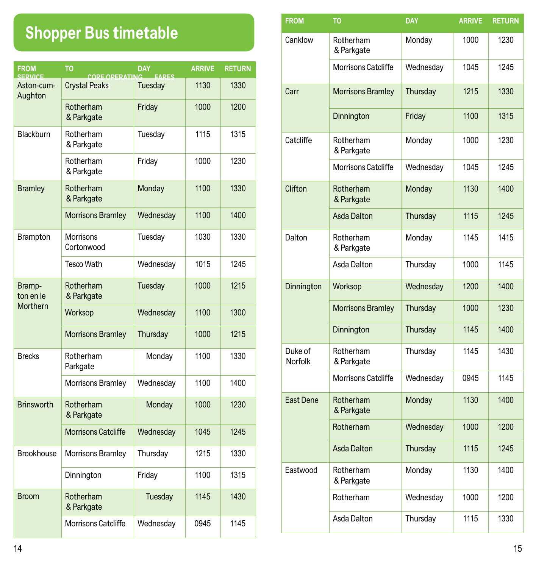## **Shopper Bus timetable**

| <b>FROM</b><br><b>SERVICE</b> | <b>TO</b><br>CORE OPERATING | <b>DAY</b><br><b>FARES</b> | <b>ARRIVE</b> | <b>RETURN</b> |
|-------------------------------|-----------------------------|----------------------------|---------------|---------------|
| Aston-cum-<br>Aughton         | <b>Crystal Peaks</b>        | Tuesday                    | 1130          | 1330          |
|                               | Rotherham<br>& Parkgate     | Friday                     | 1000          | 1200          |
| Blackburn                     | Rotherham<br>& Parkgate     | Tuesday                    | 1115          | 1315          |
|                               | Rotherham<br>& Parkgate     | Friday                     | 1000          | 1230          |
| <b>Bramley</b>                | Rotherham<br>& Parkgate     | Monday                     | 1100          | 1330          |
|                               | <b>Morrisons Bramley</b>    | Wednesday                  | 1100          | 1400          |
| Brampton                      | Morrisons<br>Cortonwood     | Tuesday                    | 1030          | 1330          |
|                               | <b>Tesco Wath</b>           | Wednesday                  | 1015          | 1245          |
| Bramp-<br>ton en le           | Rotherham<br>& Parkgate     | Tuesday                    | 1000          | 1215          |
| Morthern                      | <b>Worksop</b>              | Wednesday                  | 1100          | 1300          |
|                               | Morrisons Bramley           | Thursday                   | 1000          | 1215          |
| <b>Brecks</b>                 | Rotherham<br>Parkgate       | Monday                     | 1100          | 1330          |
|                               | <b>Morrisons Bramley</b>    | Wednesday                  | 1100          | 1400          |
| <b>Brinsworth</b>             | Rotherham<br>& Parkgate     | Monday                     | 1000          | 1230          |
|                               | <b>Morrisons Catcliffe</b>  | Wednesday                  | 1045          | 1245          |
| <b>Brookhouse</b>             | Morrisons Bramley           | Thursday                   | 1215          | 1330          |
|                               | Dinnington                  | Friday                     | 1100          | 1315          |
| <b>Broom</b>                  | Rotherham<br>& Parkgate     | Tuesday                    | 1145          | 1430          |
|                               | <b>Morrisons Catcliffe</b>  | Wednesday                  | 0945          | 1145          |

| <b>FROM</b>        | TO                         | <b>DAY</b> | <b>ARRIVE</b> | <b>RETURN</b> |
|--------------------|----------------------------|------------|---------------|---------------|
| Canklow            | Rotherham<br>& Parkgate    | Monday     | 1000          | 1230          |
|                    | <b>Morrisons Catcliffe</b> | Wednesday  | 1045          | 1245          |
| Carr               | <b>Morrisons Bramley</b>   | Thursday   | 1215          | 1330          |
|                    | Dinnington                 | Friday     | 1100          | 1315          |
| Catcliffe          | Rotherham<br>& Parkgate    | Monday     | 1000          | 1230          |
|                    | Morrisons Catcliffe        | Wednesday  | 1045          | 1245          |
| Clifton            | Rotherham<br>& Parkgate    | Monday     | 1130          | 1400          |
|                    | <b>Asda Dalton</b>         | Thursday   | 1115          | 1245          |
| Dalton             | Rotherham<br>& Parkgate    | Monday     | 1145          | 1415          |
|                    | Asda Dalton                | Thursday   | 1000          | 1145          |
| Dinnington         | Worksop                    | Wednesday  | 1200          | 1400          |
|                    | <b>Morrisons Bramley</b>   | Thursday   | 1000          | 1230          |
|                    | Dinnington                 | Thursday   | 1145          | 1400          |
| Duke of<br>Norfolk | Rotherham<br>& Parkgate    | Thursday   | 1145          | 1430          |
|                    | <b>Morrisons Catcliffe</b> | Wednesday  | 0945          | 1145          |
| East Dene          | Rotherham<br>& Parkgate    | Monday     | 1130          | 1400          |
|                    | Rotherham                  | Wednesday  | 1000          | 1200          |
|                    | <b>Asda Dalton</b>         | Thursday   | 1115          | 1245          |
| Eastwood           | Rotherham<br>& Parkgate    | Monday     | 1130          | 1400          |
|                    | Rotherham                  | Wednesday  | 1000          | 1200          |
|                    | Asda Dalton                | Thursday   | 1115          | 1330          |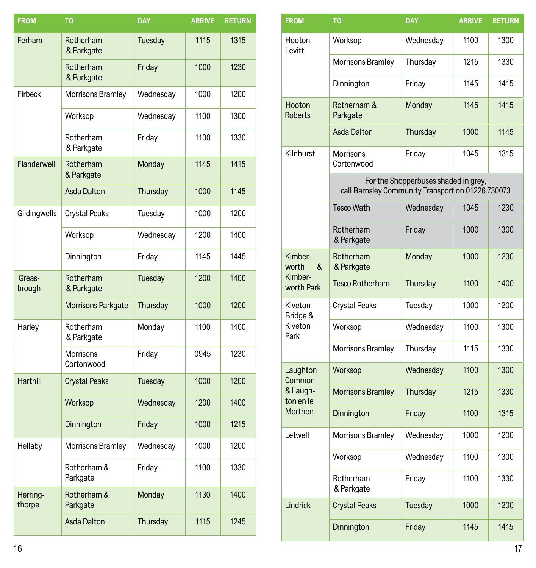| <b>FROM</b>        | <b>TO</b>                      | <b>DAY</b> | <b>ARRIVE</b> | <b>RETURN</b> |
|--------------------|--------------------------------|------------|---------------|---------------|
| Ferham             | Rotherham<br>& Parkgate        | Tuesday    | 1115          | 1315          |
|                    | Rotherham<br>& Parkgate        | Friday     | 1000          | 1230          |
| Firbeck            | Morrisons Bramley              | Wednesday  | 1000          | 1200          |
|                    | Worksop                        | Wednesday  | 1100          | 1300          |
|                    | Rotherham<br>& Parkgate        | Friday     | 1100          | 1330          |
| Flanderwell        | Rotherham<br>& Parkgate        | Monday     | 1145          | 1415          |
|                    | <b>Asda Dalton</b>             | Thursday   | 1000          | 1145          |
| Gildingwells       | <b>Crystal Peaks</b>           | Tuesday    | 1000          | 1200          |
|                    | Worksop                        | Wednesday  | 1200          | 1400          |
|                    | Dinnington                     | Friday     | 1145          | 1445          |
| Greas-<br>brough   | Rotherham<br>& Parkgate        | Tuesday    | 1200          | 1400          |
|                    | Morrisons Parkgate             | Thursday   | 1000          | 1200          |
| Harley             | Rotherham<br>& Parkgate        | Monday     | 1100          | 1400          |
|                    | <b>Morrisons</b><br>Cortonwood | Friday     | 0945          | 1230          |
| Harthill           | <b>Crystal Peaks</b>           | Tuesday    | 1000          | 1200          |
|                    | Worksop                        | Wednesday  | 1200          | 1400          |
|                    | Dinnington                     | Friday     | 1000          | 1215          |
| Hellaby            | Morrisons Bramley              | Wednesday  | 1000          | 1200          |
|                    | Rotherham &<br>Parkgate        | Friday     | 1100          | 1330          |
| Herring-<br>thorpe | Rotherham &<br>Parkgate        | Monday     | 1130          | 1400          |
|                    | <b>Asda Dalton</b>             | Thursday   | 1115          | 1245          |

| <b>FROM</b>                      | <b>DAY</b><br><b>TO</b>                           |                                      | <b>ARRIVE</b> | <b>RETURN</b> |
|----------------------------------|---------------------------------------------------|--------------------------------------|---------------|---------------|
| Hooton<br>Levitt                 | Worksop                                           | Wednesday                            | 1100          | 1300          |
|                                  | Morrisons Bramley                                 | Thursday                             | 1215          | 1330          |
|                                  | Dinnington                                        | Friday                               | 1145          | 1415          |
| Hooton<br><b>Roberts</b>         | Rotherham &<br>Parkgate                           | Monday                               | 1145          | 1415          |
|                                  | <b>Asda Dalton</b>                                | Thursday                             | 1000          | 1145          |
| Kilnhurst                        | Morrisons<br>Cortonwood                           | Friday                               | 1045          | 1315          |
|                                  | call Barnsley Community Transport on 01226 730073 | For the Shopperbuses shaded in grey, |               |               |
|                                  | <b>Tesco Wath</b>                                 | Wednesday                            | 1045          | 1230          |
|                                  | Rotherham<br>& Parkgate                           | Friday                               | 1000          | 1300          |
| Kimber-<br>worth<br>&<br>Kimber- | Rotherham<br>Monday<br>& Parkgate                 |                                      | 1000          | 1230          |
| worth Park                       | <b>Tesco Rotherham</b>                            | Thursday                             | 1100          | 1400          |
| Kiveton<br>Bridge &              | <b>Crystal Peaks</b>                              | Tuesday                              | 1000          | 1200          |
| Kiveton<br>Park                  | Worksop                                           | Wednesday                            | 1100          | 1300          |
|                                  | Morrisons Bramley                                 | Thursday                             | 1115          | 1330          |
| Laughton<br>Common               | Worksop                                           | Wednesday                            | 1100          | 1300          |
| & Laugh-<br>ton en le            | <b>Morrisons Bramley</b>                          | Thursday                             | 1215          | 1330          |
| Morthen                          | Dinnington                                        | Friday                               | 1100          | 1315          |
| Letwell                          | Morrisons Bramley                                 | Wednesday                            | 1000          | 1200          |
|                                  | Worksop                                           | Wednesday                            | 1100          | 1300          |
|                                  | Rotherham<br>& Parkgate                           | Friday                               | 1100          | 1330          |
| Lindrick                         | <b>Crystal Peaks</b>                              | Tuesday                              | 1000          | 1200          |
|                                  | Dinnington                                        | Friday                               | 1145          | 1415          |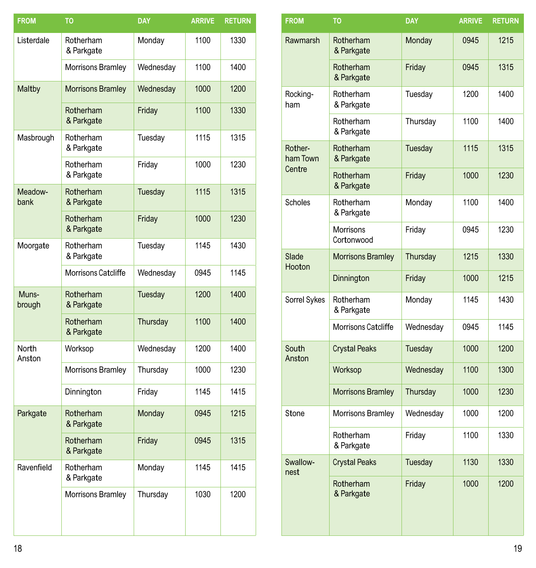| <b>FROM</b>     | <b>TO</b>                | <b>DAY</b> | <b>ARRIVE</b> | <b>RETURN</b> |
|-----------------|--------------------------|------------|---------------|---------------|
| Listerdale      | Rotherham<br>& Parkgate  | Monday     | 1100          | 1330          |
|                 | Morrisons Bramley        | Wednesday  | 1100          | 1400          |
| Maltby          | <b>Morrisons Bramley</b> | Wednesday  | 1000          | 1200          |
|                 | Rotherham<br>& Parkgate  | Friday     | 1100          | 1330          |
| Masbrough       | Rotherham<br>& Parkgate  | Tuesday    | 1115          | 1315          |
|                 | Rotherham<br>& Parkgate  | Friday     | 1000          | 1230          |
| Meadow-<br>bank | Rotherham<br>& Parkgate  | Tuesday    | 1115          | 1315          |
|                 | Rotherham<br>& Parkgate  | Friday     | 1000          | 1230          |
| Moorgate        | Rotherham<br>& Parkgate  | Tuesday    | 1145          | 1430          |
|                 | Morrisons Catcliffe      | Wednesday  | 0945          | 1145          |
| Muns-<br>brough | Rotherham<br>& Parkgate  | Tuesday    | 1200          | 1400          |
|                 | Rotherham<br>& Parkgate  | Thursday   | 1100          | 1400          |
| North<br>Anston | Worksop                  | Wednesday  | 1200          | 1400          |
|                 | Morrisons Bramley        | Thursday   | 1000          | 1230          |
|                 | Dinnington               | Friday     | 1145          | 1415          |
| Parkgate        | Rotherham<br>& Parkgate  | Monday     | 0945          | 1215          |
|                 | Rotherham<br>& Parkgate  | Friday     | 0945          | 1315          |
| Ravenfield      | Rotherham<br>& Parkgate  | Monday     | 1145          | 1415          |
|                 | Morrisons Bramley        | Thursday   | 1030          | 1200          |

| то                                    | <b>DAY</b> | <b>ARRIVE</b> | <b>RETURN</b> |
|---------------------------------------|------------|---------------|---------------|
| Rotherham<br>& Parkgate               | Monday     | 1100          | 1330          |
| Morrisons Bramley                     | Wednesday  | 1100          | 1400          |
| <b>Morrisons Bramley</b><br>Rotherham | Wednesday  | 1000<br>1100  | 1200<br>1330  |
| & Parkgate                            | Friday     |               |               |
| Rotherham<br>& Parkgate               | Tuesday    | 1115          | 1315          |
| Rotherham<br>& Parkgate               | Friday     | 1000          | 1230          |
| Rotherham<br>& Parkgate               | Tuesday    | 1115          | 1315          |
| Rotherham<br>& Parkgate               | Friday     | 1000          | 1230          |
| Rotherham<br>& Parkgate               | Tuesday    | 1145          | 1430          |
| Morrisons Catcliffe                   | Wednesday  | 0945          | 1145          |
| Rotherham<br>& Parkgate               | Tuesday    | 1200          | 1400          |
| Rotherham<br>& Parkgate               | Thursday   | 1100          | 1400          |
| Worksop                               | Wednesday  | 1200          | 1400          |
| Morrisons Bramley                     | Thursday   | 1000          | 1230          |
| Dinnington                            | Friday     | 1145          | 1415          |
| Rotherham<br>& Parkgate               | Monday     | 0945          | 1215          |
| Rotherham<br>& Parkgate               | Friday     | 0945          | 1315          |
| Rotherham<br>& Parkgate               | Monday     | 1145          | 1415          |
| Morrisons Bramley                     | Thursday   | 1030          | 1200          |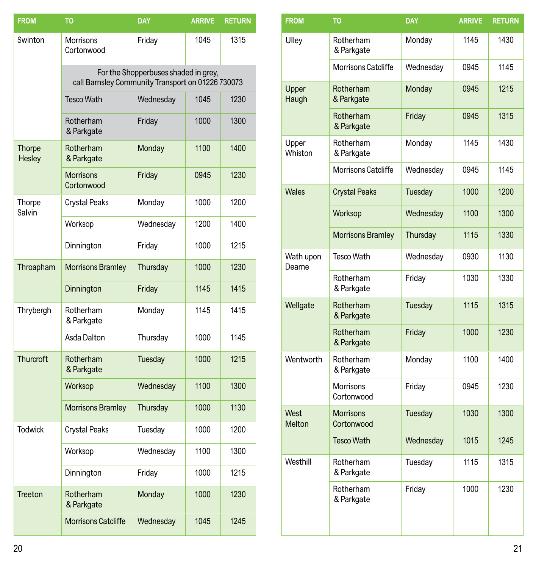| <b>FROM</b>             | TO                                                                                        | <b>DAY</b> | <b>ARRIVE</b> | <b>RETURN</b> |  |  |  |
|-------------------------|-------------------------------------------------------------------------------------------|------------|---------------|---------------|--|--|--|
| Swinton                 | <b>Morrisons</b><br>Friday<br>Cortonwood                                                  |            | 1045          | 1315          |  |  |  |
|                         | For the Shopperbuses shaded in grey,<br>call Barnsley Community Transport on 01226 730073 |            |               |               |  |  |  |
|                         | <b>Tesco Wath</b>                                                                         | Wednesday  | 1045          | 1230          |  |  |  |
|                         | Rotherham<br>& Parkgate                                                                   | Friday     | 1000          | 1300          |  |  |  |
| <b>Thorpe</b><br>Hesley | Rotherham<br>& Parkgate                                                                   | Monday     | 1100          | 1400          |  |  |  |
|                         | <b>Morrisons</b><br>Cortonwood                                                            | Friday     | 0945          | 1230          |  |  |  |
| Thorpe<br>Salvin        | <b>Crystal Peaks</b>                                                                      | Monday     | 1000          | 1200          |  |  |  |
|                         | Worksop                                                                                   | Wednesday  | 1200          | 1400          |  |  |  |
|                         | Dinnington                                                                                | Friday     | 1000          | 1215          |  |  |  |
| Throapham               | <b>Morrisons Bramley</b>                                                                  | Thursday   | 1000          | 1230          |  |  |  |
|                         | Dinnington                                                                                | Friday     | 1145          | 1415          |  |  |  |
| Thrybergh               | Rotherham<br>& Parkgate                                                                   | Monday     | 1145          | 1415          |  |  |  |
|                         | Asda Dalton                                                                               | Thursday   | 1000          | 1145          |  |  |  |
| <b>Thurcroft</b>        | Rotherham<br>& Parkgate                                                                   | Tuesday    | 1000          | 1215          |  |  |  |
|                         | Worksop                                                                                   | Wednesday  | 1100          | 1300          |  |  |  |
|                         | <b>Morrisons Bramley</b>                                                                  | Thursday   | 1000          | 1130          |  |  |  |
| <b>Todwick</b>          | <b>Crystal Peaks</b>                                                                      | Tuesday    | 1000          | 1200          |  |  |  |
|                         | Worksop                                                                                   | Wednesday  | 1100          | 1300          |  |  |  |
|                         | Dinnington                                                                                | Friday     | 1000          | 1215          |  |  |  |
| Treeton                 | Rotherham<br>& Parkgate                                                                   | Monday     | 1000          | 1230          |  |  |  |
|                         | <b>Morrisons Catcliffe</b>                                                                | Wednesday  | 1045          | 1245          |  |  |  |

| <b>FROM</b>         | <b>TO</b>                      | <b>DAY</b> | <b>ARRIVE</b> | <b>RETURN</b> |
|---------------------|--------------------------------|------------|---------------|---------------|
| Ulley               | Rotherham<br>& Parkgate        | Monday     | 1145          | 1430          |
|                     | <b>Morrisons Catcliffe</b>     | Wednesday  | 0945          | 1145          |
| Upper<br>Haugh      | Rotherham<br>& Parkgate        | Monday     | 0945          | 1215          |
|                     | Rotherham<br>& Parkgate        | Friday     | 0945          | 1315          |
| Upper<br>Whiston    | Rotherham<br>& Parkgate        | Monday     | 1145          | 1430          |
|                     | Morrisons Catcliffe            | Wednesday  | 0945          | 1145          |
| <b>Wales</b>        | <b>Crystal Peaks</b>           | Tuesday    | 1000          | 1200          |
|                     | Worksop                        | Wednesday  | 1100          | 1300          |
|                     | <b>Morrisons Bramley</b>       | Thursday   | 1115          | 1330          |
| Wath upon<br>Dearne | <b>Tesco Wath</b>              | Wednesday  | 0930          | 1130          |
|                     | Rotherham<br>& Parkgate        | Friday     | 1030          | 1330          |
| Wellgate            | Rotherham<br>& Parkgate        | Tuesday    | 1115          | 1315          |
|                     | Rotherham<br>& Parkgate        | Friday     | 1000          | 1230          |
| Wentworth           | Rotherham<br>& Parkgate        | Monday     | 1100          | 1400          |
|                     | <b>Morrisons</b><br>Cortonwood | Friday     | 0945          | 1230          |
| West<br>Melton      | <b>Morrisons</b><br>Cortonwood | Tuesday    | 1030          | 1300          |
|                     | <b>Tesco Wath</b>              | Wednesday  | 1015          | 1245          |
| Westhill            | Rotherham<br>& Parkgate        | Tuesday    | 1115          | 1315          |
|                     | Rotherham<br>& Parkgate        | Friday     | 1000          | 1230          |